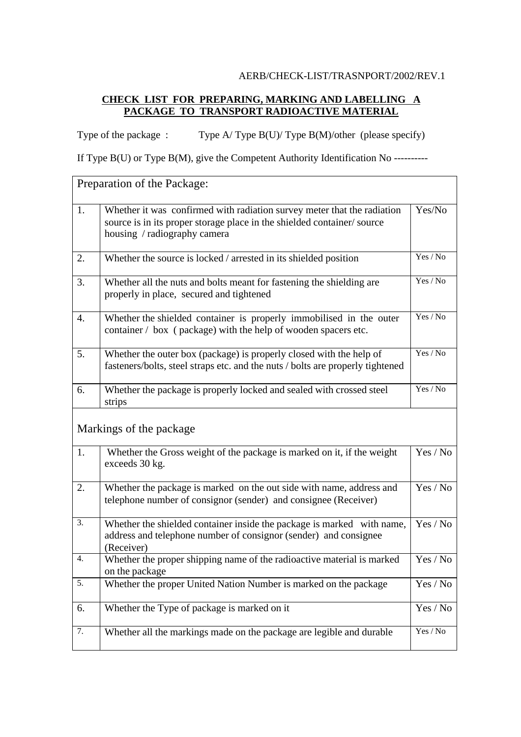## AERB/CHECK-LIST/TRASNPORT/2002/REV.1

## **CHECK LIST FOR PREPARING, MARKING AND LABELLING A PACKAGE TO TRANSPORT RADIOACTIVE MATERIAL**

Type of the package : Type  $A/T$ ype  $B(U)/T$ ype  $B(M)/$ other (please specify)

If Type B(U) or Type B(M), give the Competent Authority Identification No ----------

|    | Preparation of the Package:                                                                                                                                                       |          |
|----|-----------------------------------------------------------------------------------------------------------------------------------------------------------------------------------|----------|
| 1. | Whether it was confirmed with radiation survey meter that the radiation<br>source is in its proper storage place in the shielded container/source<br>housing / radiography camera | Yes/No   |
| 2. | Whether the source is locked / arrested in its shielded position                                                                                                                  | Yes / No |
| 3. | Whether all the nuts and bolts meant for fastening the shielding are<br>properly in place, secured and tightened                                                                  | Yes / No |
| 4. | Whether the shielded container is properly immobilised in the outer<br>container / box (package) with the help of wooden spacers etc.                                             | Yes / No |
| 5. | Whether the outer box (package) is properly closed with the help of<br>fasteners/bolts, steel straps etc. and the nuts / bolts are properly tightened                             | Yes / No |
| 6. | Whether the package is properly locked and sealed with crossed steel<br>strips                                                                                                    | Yes / No |
|    | Markings of the package                                                                                                                                                           |          |
| 1. | Whether the Gross weight of the package is marked on it, if the weight<br>exceeds 30 kg.                                                                                          | Yes / No |
| 2. | Whether the package is marked on the out side with name, address and<br>telephone number of consignor (sender) and consignee (Receiver)                                           | Yes / No |
| 3. | Whether the shielded container inside the package is marked with name,<br>address and telephone number of consignor (sender) and consignee<br>(Receiver)                          | Yes / No |
| 4. | Whether the proper shipping name of the radioactive material is marked<br>on the package                                                                                          | Yes / No |
| 5. | Whether the proper United Nation Number is marked on the package                                                                                                                  | Yes / No |
| 6. | Whether the Type of package is marked on it                                                                                                                                       | Yes / No |
| 7. | Whether all the markings made on the package are legible and durable                                                                                                              | Yes / No |